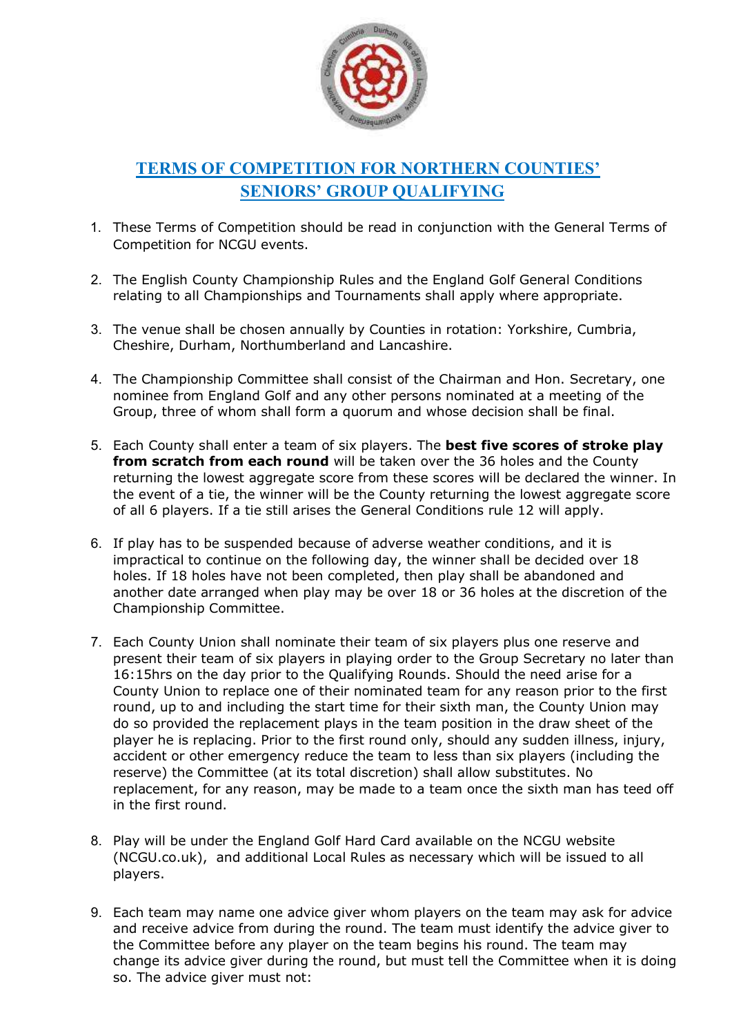

## TERMS OF COMPETITION FOR NORTHERN COUNTIES' SENIORS' GROUP QUALIFYING

- 1. These Terms of Competition should be read in conjunction with the General Terms of Competition for NCGU events.
- 2. The English County Championship Rules and the England Golf General Conditions relating to all Championships and Tournaments shall apply where appropriate.
- 3. The venue shall be chosen annually by Counties in rotation: Yorkshire, Cumbria, Cheshire, Durham, Northumberland and Lancashire.
- 4. The Championship Committee shall consist of the Chairman and Hon. Secretary, one nominee from England Golf and any other persons nominated at a meeting of the Group, three of whom shall form a quorum and whose decision shall be final.
- 5. Each County shall enter a team of six players. The best five scores of stroke play from scratch from each round will be taken over the 36 holes and the County returning the lowest aggregate score from these scores will be declared the winner. In the event of a tie, the winner will be the County returning the lowest aggregate score of all 6 players. If a tie still arises the General Conditions rule 12 will apply.
- 6. If play has to be suspended because of adverse weather conditions, and it is impractical to continue on the following day, the winner shall be decided over 18 holes. If 18 holes have not been completed, then play shall be abandoned and another date arranged when play may be over 18 or 36 holes at the discretion of the Championship Committee.
- 7. Each County Union shall nominate their team of six players plus one reserve and present their team of six players in playing order to the Group Secretary no later than 16:15hrs on the day prior to the Qualifying Rounds. Should the need arise for a County Union to replace one of their nominated team for any reason prior to the first round, up to and including the start time for their sixth man, the County Union may do so provided the replacement plays in the team position in the draw sheet of the player he is replacing. Prior to the first round only, should any sudden illness, injury, accident or other emergency reduce the team to less than six players (including the reserve) the Committee (at its total discretion) shall allow substitutes. No replacement, for any reason, may be made to a team once the sixth man has teed off in the first round.
- 8. Play will be under the England Golf Hard Card available on the NCGU website (NCGU.co.uk), and additional Local Rules as necessary which will be issued to all players.
- 9. Each team may name one advice giver whom players on the team may ask for advice and receive advice from during the round. The team must identify the advice giver to the Committee before any player on the team begins his round. The team may change its advice giver during the round, but must tell the Committee when it is doing so. The advice giver must not: